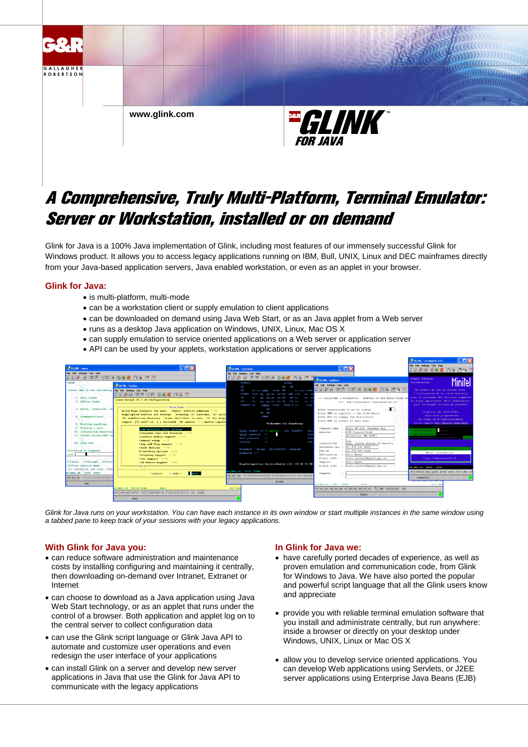

# A Comprehensive, Truly Multi-Platform, Terminal Emulator: Server or Workstation, installed or on demand

Glink for Java is a 100% Java implementation of Glink, including most features of our immensely successful Glink for Windows product. It allows you to access legacy applications running on IBM, Bull, UNIX, Linux and DEC mainframes directly from your Java-based application servers, Java enabled workstation, or even as an applet in your browser.

# **Glink for Java:**

- is multi-platform, multi-mode
- can be a workstation client or supply emulation to client applications
- can be downloaded on demand using Java Web Start, or as an Java applet from a Web server
- runs as a desktop Java application on Windows, UNIX, Linux, Mac OS X
- can supply emulation to service oriented applications on a Web server or application server
- API can be used by your applets, workstation applications or server applications



*Glink for Java runs on your workstation. You can have each instance in its own window or start multiple instances in the same window using a tabbed pane to keep track of your sessions with your legacy applications.*

# **With Glink for Java you:**

- can reduce software administration and maintenance costs by installing configuring and maintaining it centrally, then downloading on-demand over Intranet, Extranet or Internet
- can choose to download as a Java application using Java Web Start technology, or as an applet that runs under the control of a browser. Both application and applet log on to the central server to collect configuration data
- can use the Glink script language or Glink Java API to automate and customize user operations and even redesign the user interface of your applications
- can install Glink on a server and develop new server applications in Java that use the Glink for Java API to communicate with the legacy applications

### **In Glink for Java we:**

- have carefully ported decades of experience, as well as proven emulation and communication code, from Glink for Windows to Java. We have also ported the popular and powerful script language that all the Glink users know and appreciate
- provide you with reliable terminal emulation software that you install and administrate centrally, but run anywhere: inside a browser or directly on your desktop under Windows, UNIX, Linux or Mac OS X
- allow you to develop service oriented applications. You can develop Web applications using Servlets, or J2EE server applications using Enterprise Java Beans (EJB)